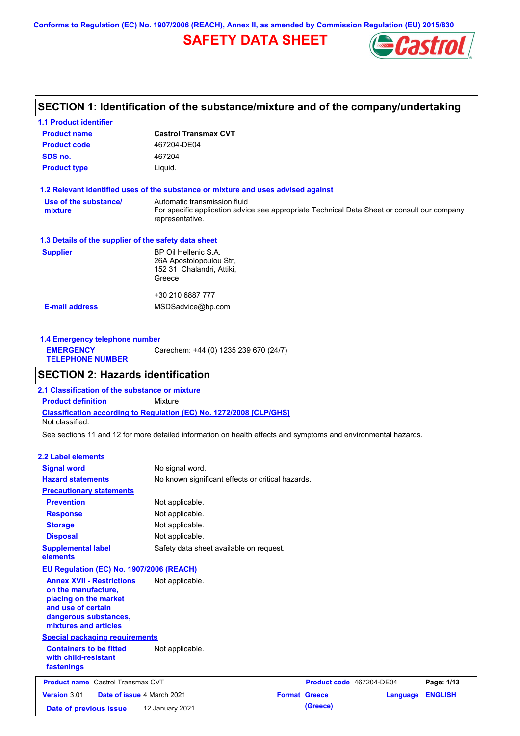**Conforms to Regulation (EC) No. 1907/2006 (REACH), Annex II, as amended by Commission Regulation (EU) 2015/830**

# **SAFETY DATA SHEET**



# **SECTION 1: Identification of the substance/mixture and of the company/undertaking**

| <b>1.1 Product identifier</b>                        |                                                                                                                                                |
|------------------------------------------------------|------------------------------------------------------------------------------------------------------------------------------------------------|
| <b>Product name</b>                                  | <b>Castrol Transmax CVT</b>                                                                                                                    |
| <b>Product code</b>                                  | 467204-DE04                                                                                                                                    |
| SDS no.                                              | 467204                                                                                                                                         |
| <b>Product type</b>                                  | Liquid.                                                                                                                                        |
|                                                      | 1.2 Relevant identified uses of the substance or mixture and uses advised against                                                              |
| Use of the substance/<br>mixture                     | Automatic transmission fluid<br>For specific application advice see appropriate Technical Data Sheet or consult our company<br>representative. |
| 1.3 Details of the supplier of the safety data sheet |                                                                                                                                                |
| <b>Supplier</b>                                      | BP Oil Hellenic S.A.<br>26A Apostolopoulou Str,<br>152 31 Chalandri, Attiki,<br>Greece                                                         |
|                                                      | +30 210 6887 777                                                                                                                               |
| <b>E-mail address</b>                                | MSDSadvice@bp.com                                                                                                                              |
|                                                      |                                                                                                                                                |

| Carechem: +44 (0) 1235 239 670 (24/7)<br><b>EMERGENCY</b><br><b>TELEPHONE NUMBER</b> | 1.4 Emergency telephone number |  |  |  |  |
|--------------------------------------------------------------------------------------|--------------------------------|--|--|--|--|
|                                                                                      |                                |  |  |  |  |

### **SECTION 2: Hazards identification**

**Classification according to Regulation (EC) No. 1272/2008 [CLP/GHS] 2.1 Classification of the substance or mixture Product definition** Mixture Not classified.

See sections 11 and 12 for more detailed information on health effects and symptoms and environmental hazards.

#### **2.2 Label elements**

| <b>Signal word</b>                                                                                                                                       | No signal word.                                   |                      |                          |          |                |
|----------------------------------------------------------------------------------------------------------------------------------------------------------|---------------------------------------------------|----------------------|--------------------------|----------|----------------|
| <b>Hazard statements</b>                                                                                                                                 | No known significant effects or critical hazards. |                      |                          |          |                |
| <b>Precautionary statements</b>                                                                                                                          |                                                   |                      |                          |          |                |
| <b>Prevention</b>                                                                                                                                        | Not applicable.                                   |                      |                          |          |                |
| <b>Response</b>                                                                                                                                          | Not applicable.                                   |                      |                          |          |                |
| <b>Storage</b>                                                                                                                                           | Not applicable.                                   |                      |                          |          |                |
| <b>Disposal</b>                                                                                                                                          | Not applicable.                                   |                      |                          |          |                |
| <b>Supplemental label</b><br>elements                                                                                                                    | Safety data sheet available on request.           |                      |                          |          |                |
| EU Regulation (EC) No. 1907/2006 (REACH)                                                                                                                 |                                                   |                      |                          |          |                |
| <b>Annex XVII - Restrictions</b><br>on the manufacture,<br>placing on the market<br>and use of certain<br>dangerous substances,<br>mixtures and articles | Not applicable.                                   |                      |                          |          |                |
| <b>Special packaging requirements</b>                                                                                                                    |                                                   |                      |                          |          |                |
| <b>Containers to be fitted</b><br>with child-resistant<br>fastenings                                                                                     | Not applicable.                                   |                      |                          |          |                |
| <b>Product name</b> Castrol Transmax CVT                                                                                                                 |                                                   |                      | Product code 467204-DE04 |          | Page: 1/13     |
| <b>Version 3.01</b><br>Date of issue 4 March 2021                                                                                                        |                                                   | <b>Format Greece</b> |                          | Language | <b>ENGLISH</b> |
|                                                                                                                                                          |                                                   |                      | (Greece)                 |          |                |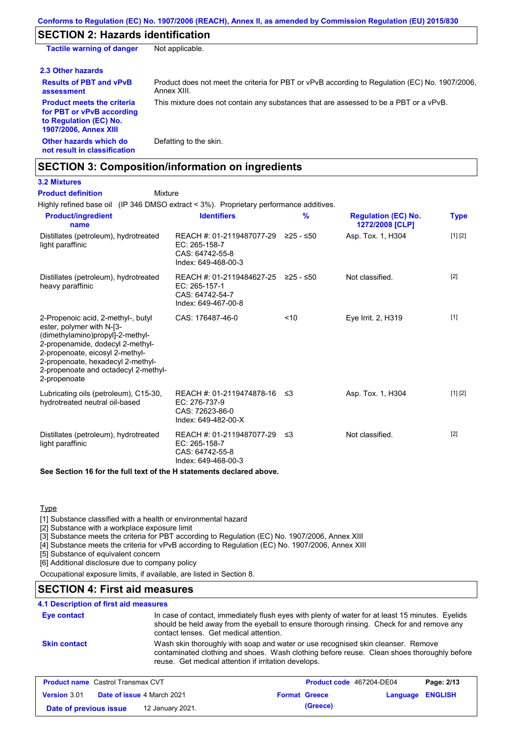### **SECTION 2: Hazards identification**

| <b>Tactile warning of danger</b>                                                                                         | Not applicable.                                                                                               |
|--------------------------------------------------------------------------------------------------------------------------|---------------------------------------------------------------------------------------------------------------|
| 2.3 Other hazards                                                                                                        |                                                                                                               |
| <b>Results of PBT and vPvB</b><br>assessment                                                                             | Product does not meet the criteria for PBT or vPvB according to Regulation (EC) No. 1907/2006,<br>Annex XIII. |
| <b>Product meets the criteria</b><br>for PBT or vPvB according<br>to Regulation (EC) No.<br><b>1907/2006, Annex XIII</b> | This mixture does not contain any substances that are assessed to be a PBT or a vPvB.                         |
| Other hazards which do<br>not result in classification                                                                   | Defatting to the skin.                                                                                        |

## **SECTION 3: Composition/information on ingredients**

# **3.2 Mixtures**

Highly refined base oil (IP 346 DMSO extract < 3%). Proprietary performance additives. Distillates (petroleum), hydrotreated light paraffinic REACH #: 01-2119487077-29 EC: 265-158-7 CAS: 64742-55-8 Index: 649-468-00-3 ≥25 - ≤50 Asp. Tox. 1, H304 [1] [2] Distillates (petroleum), hydrotreated heavy paraffinic REACH #: 01-2119484627-25 EC: 265-157-1 CAS: 64742-54-7 Index: 649-467-00-8 Not classified. [2] 2-Propenoic acid, 2-methyl-, butyl ester, polymer with N-[3- (dimethylamino)propyl]-2-methyl-2-propenamide, dodecyl 2-methyl-2-propenoate, eicosyl 2-methyl-2-propenoate, hexadecyl 2-methyl-2-propenoate and octadecyl 2-methyl-2-propenoate CAS: 176487-46-0 <10 Eye Irrit. 2, H319 [1] Lubricating oils (petroleum), C15-30, hydrotreated neutral oil-based REACH #: 01-2119474878-16 EC: 276-737-9 CAS: 72623-86-0 Index: 649-482-00-X Asp. Tox. 1, H304 [1] [2] Distillates (petroleum), hydrotreated REACH #: 01-2119487077-29 Not classified. [2] **Product/ingredient name % Regulation (EC) No. Identifiers Type 1272/2008 [CLP]** Mixture **Product definition**

**See Section 16 for the full text of the H statements declared above.**

### **Type**

light paraffinic

[1] Substance classified with a health or environmental hazard

[2] Substance with a workplace exposure limit

[3] Substance meets the criteria for PBT according to Regulation (EC) No. 1907/2006, Annex XIII

EC: 265-158-7 CAS: 64742-55-8 Index: 649-468-00-3

[4] Substance meets the criteria for vPvB according to Regulation (EC) No. 1907/2006, Annex XIII

[5] Substance of equivalent concern

[6] Additional disclosure due to company policy

Occupational exposure limits, if available, are listed in Section 8.

## **SECTION 4: First aid measures**

### **4.1 Description of first aid measures**

| <b>Eye contact</b>  | In case of contact, immediately flush eyes with plenty of water for at least 15 minutes. Eyelids<br>should be held away from the eyeball to ensure thorough rinsing. Check for and remove any<br>contact lenses. Get medical attention. |
|---------------------|-----------------------------------------------------------------------------------------------------------------------------------------------------------------------------------------------------------------------------------------|
| <b>Skin contact</b> | Wash skin thoroughly with soap and water or use recognised skin cleanser. Remove<br>contaminated clothing and shoes. Wash clothing before reuse. Clean shoes thoroughly before<br>reuse. Get medical attention if irritation develops.  |

| <b>Product name</b> Castrol Transmax CVT |  |                                   | <b>Product code</b> 467204-DE04 | Page: 2/13           |                         |  |
|------------------------------------------|--|-----------------------------------|---------------------------------|----------------------|-------------------------|--|
| <b>Version 3.01</b>                      |  | <b>Date of issue 4 March 2021</b> |                                 | <b>Format Greece</b> | <b>Language ENGLISH</b> |  |
| Date of previous issue                   |  | 12 January 2021.                  |                                 | (Greece)             |                         |  |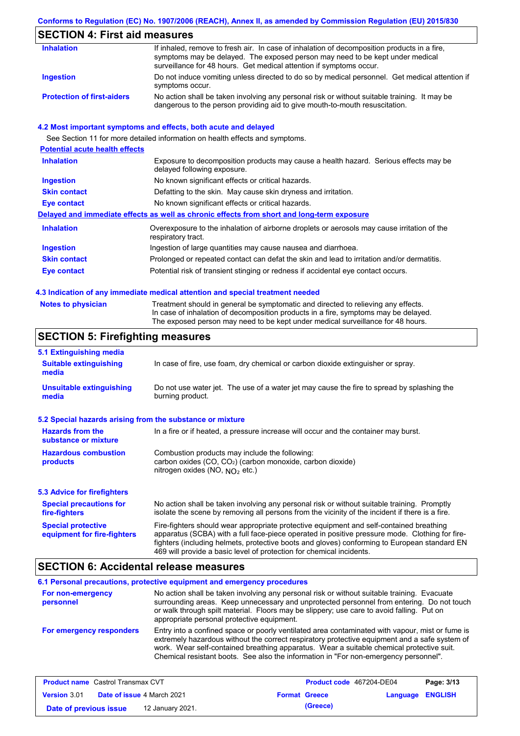### **SECTION 4: First aid measures**

| <b>Inhalation</b>                 | If inhaled, remove to fresh air. In case of inhalation of decomposition products in a fire,<br>symptoms may be delayed. The exposed person may need to be kept under medical<br>surveillance for 48 hours. Get medical attention if symptoms occur. |
|-----------------------------------|-----------------------------------------------------------------------------------------------------------------------------------------------------------------------------------------------------------------------------------------------------|
| <b>Ingestion</b>                  | Do not induce vomiting unless directed to do so by medical personnel. Get medical attention if<br>symptoms occur.                                                                                                                                   |
| <b>Protection of first-aiders</b> | No action shall be taken involving any personal risk or without suitable training. It may be<br>dangerous to the person providing aid to give mouth-to-mouth resuscitation.                                                                         |

#### **4.2 Most important symptoms and effects, both acute and delayed**

See Section 11 for more detailed information on health effects and symptoms. **Potential acute health effects Inhalation** Exposure to decomposition products may cause a health hazard. Serious effects may be delayed following exposure. **Ingestion** No known significant effects or critical hazards. **Skin contact** Defatting to the skin. May cause skin dryness and irritation. **Eye contact** No known significant effects or critical hazards. **Delayed and immediate effects as well as chronic effects from short and long-term exposure Inhalation Ingestion Skin contact Eye contact** Overexposure to the inhalation of airborne droplets or aerosols may cause irritation of the respiratory tract. Ingestion of large quantities may cause nausea and diarrhoea. Prolonged or repeated contact can defat the skin and lead to irritation and/or dermatitis. Potential risk of transient stinging or redness if accidental eye contact occurs.

#### **4.3 Indication of any immediate medical attention and special treatment needed**

| Notes to physician | Treatment should in general be symptomatic and directed to relieving any effects.   |
|--------------------|-------------------------------------------------------------------------------------|
|                    | In case of inhalation of decomposition products in a fire, symptoms may be delayed. |
|                    | The exposed person may need to be kept under medical surveillance for 48 hours.     |

# **SECTION 5: Firefighting measures**

| 5.1 Extinguishing media                                                                                                                |                                                                                                                                                                                                                                                                                                                                                                   |  |  |  |
|----------------------------------------------------------------------------------------------------------------------------------------|-------------------------------------------------------------------------------------------------------------------------------------------------------------------------------------------------------------------------------------------------------------------------------------------------------------------------------------------------------------------|--|--|--|
| <b>Suitable extinguishing</b><br>media                                                                                                 | In case of fire, use foam, dry chemical or carbon dioxide extinguisher or spray.                                                                                                                                                                                                                                                                                  |  |  |  |
| <b>Unsuitable extinguishing</b><br>media                                                                                               | Do not use water jet. The use of a water jet may cause the fire to spread by splashing the<br>burning product.                                                                                                                                                                                                                                                    |  |  |  |
| 5.2 Special hazards arising from the substance or mixture                                                                              |                                                                                                                                                                                                                                                                                                                                                                   |  |  |  |
| <b>Hazards from the</b><br>In a fire or if heated, a pressure increase will occur and the container may burst.<br>substance or mixture |                                                                                                                                                                                                                                                                                                                                                                   |  |  |  |
| <b>Hazardous combustion</b><br>products                                                                                                | Combustion products may include the following:<br>carbon oxides (CO, CO <sub>2</sub> ) (carbon monoxide, carbon dioxide)<br>nitrogen oxides (NO, $NO2$ etc.)                                                                                                                                                                                                      |  |  |  |
| 5.3 Advice for firefighters                                                                                                            |                                                                                                                                                                                                                                                                                                                                                                   |  |  |  |
| <b>Special precautions for</b><br>fire-fighters                                                                                        | No action shall be taken involving any personal risk or without suitable training. Promptly<br>isolate the scene by removing all persons from the vicinity of the incident if there is a fire.                                                                                                                                                                    |  |  |  |
| <b>Special protective</b><br>equipment for fire-fighters                                                                               | Fire-fighters should wear appropriate protective equipment and self-contained breathing<br>apparatus (SCBA) with a full face-piece operated in positive pressure mode. Clothing for fire-<br>fighters (including helmets, protective boots and gloves) conforming to European standard EN<br>469 will provide a basic level of protection for chemical incidents. |  |  |  |

### **SECTION 6: Accidental release measures**

|                                | 6.1 Personal precautions, protective equipment and emergency procedures                                                                                                                                                                                                                                                                                                              |
|--------------------------------|--------------------------------------------------------------------------------------------------------------------------------------------------------------------------------------------------------------------------------------------------------------------------------------------------------------------------------------------------------------------------------------|
| For non-emergency<br>personnel | No action shall be taken involving any personal risk or without suitable training. Evacuate<br>surrounding areas. Keep unnecessary and unprotected personnel from entering. Do not touch<br>or walk through spilt material. Floors may be slippery; use care to avoid falling. Put on<br>appropriate personal protective equipment.                                                  |
| For emergency responders       | Entry into a confined space or poorly ventilated area contaminated with vapour, mist or fume is<br>extremely hazardous without the correct respiratory protective equipment and a safe system of<br>work. Wear self-contained breathing apparatus. Wear a suitable chemical protective suit.<br>Chemical resistant boots. See also the information in "For non-emergency personnel". |

| <b>Product name</b> Castrol Transmax CVT |  | <b>Product code</b> 467204-DE04   |  | Page: 3/13           |                  |  |
|------------------------------------------|--|-----------------------------------|--|----------------------|------------------|--|
| <b>Version 3.01</b>                      |  | <b>Date of issue 4 March 2021</b> |  | <b>Format Greece</b> | Language ENGLISH |  |
| Date of previous issue                   |  | 12 January 2021.                  |  | (Greece)             |                  |  |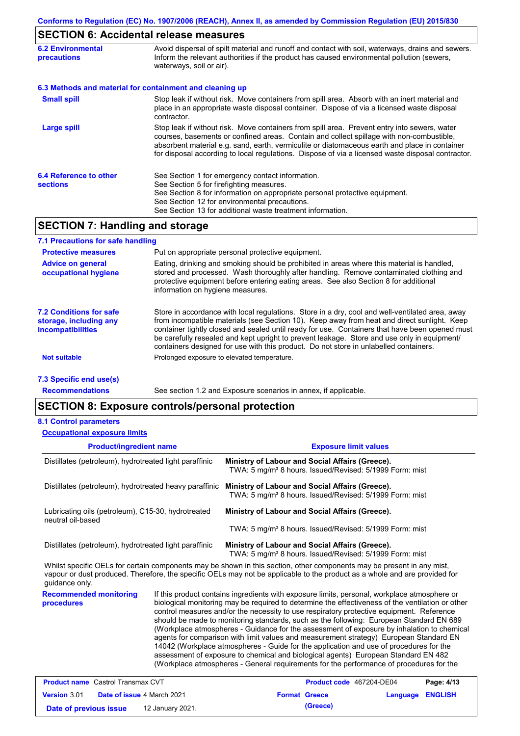# **SECTION 6: Accidental release measures**

| <b>6.2 Environmental</b><br><b>precautions</b> | Avoid dispersal of spilt material and runoff and contact with soil, waterways, drains and sewers.<br>Inform the relevant authorities if the product has caused environmental pollution (sewers,<br>waterways, soil or air).                                                                                                                                                                    |  |  |
|------------------------------------------------|------------------------------------------------------------------------------------------------------------------------------------------------------------------------------------------------------------------------------------------------------------------------------------------------------------------------------------------------------------------------------------------------|--|--|
|                                                | 6.3 Methods and material for containment and cleaning up                                                                                                                                                                                                                                                                                                                                       |  |  |
| <b>Small spill</b>                             | Stop leak if without risk. Move containers from spill area. Absorb with an inert material and<br>place in an appropriate waste disposal container. Dispose of via a licensed waste disposal<br>contractor.                                                                                                                                                                                     |  |  |
| <b>Large spill</b>                             | Stop leak if without risk. Move containers from spill area. Prevent entry into sewers, water<br>courses, basements or confined areas. Contain and collect spillage with non-combustible,<br>absorbent material e.g. sand, earth, vermiculite or diatomaceous earth and place in container<br>for disposal according to local regulations. Dispose of via a licensed waste disposal contractor. |  |  |
| 6.4 Reference to other<br><b>sections</b>      | See Section 1 for emergency contact information.<br>See Section 5 for firefighting measures.<br>See Section 8 for information on appropriate personal protective equipment.<br>See Section 12 for environmental precautions.<br>See Section 13 for additional waste treatment information.                                                                                                     |  |  |

# **SECTION 7: Handling and storage**

| 7.1 Precautions for safe handling                                                    |                                                                                                                                                                                                                                                                                                                                                                                                                                                                                          |
|--------------------------------------------------------------------------------------|------------------------------------------------------------------------------------------------------------------------------------------------------------------------------------------------------------------------------------------------------------------------------------------------------------------------------------------------------------------------------------------------------------------------------------------------------------------------------------------|
| <b>Protective measures</b>                                                           | Put on appropriate personal protective equipment.                                                                                                                                                                                                                                                                                                                                                                                                                                        |
| <b>Advice on general</b><br>occupational hygiene                                     | Eating, drinking and smoking should be prohibited in areas where this material is handled,<br>stored and processed. Wash thoroughly after handling. Remove contaminated clothing and<br>protective equipment before entering eating areas. See also Section 8 for additional<br>information on hygiene measures.                                                                                                                                                                         |
| <b>7.2 Conditions for safe</b><br>storage, including any<br><b>incompatibilities</b> | Store in accordance with local requiations. Store in a dry, cool and well-ventilated area, away<br>from incompatible materials (see Section 10). Keep away from heat and direct sunlight. Keep<br>container tightly closed and sealed until ready for use. Containers that have been opened must<br>be carefully resealed and kept upright to prevent leakage. Store and use only in equipment/<br>containers designed for use with this product. Do not store in unlabelled containers. |
| <b>Not suitable</b>                                                                  | Prolonged exposure to elevated temperature.                                                                                                                                                                                                                                                                                                                                                                                                                                              |
| 7.3 Specific end use(s)                                                              |                                                                                                                                                                                                                                                                                                                                                                                                                                                                                          |

**Recommendations**

See section 1.2 and Exposure scenarios in annex, if applicable.

# **SECTION 8: Exposure controls/personal protection**

#### **8.1 Control parameters**

**Occupational exposure limits**

| <b>Product/ingredient name</b>                                          |                                                                                                                                                                                                                                                                                                                                                                                                                                                                                                                                                                                                                                                                                                                                                                                                                                                            | <b>Exposure limit values</b>                                                                                                                                                                                                                         |  |  |
|-------------------------------------------------------------------------|------------------------------------------------------------------------------------------------------------------------------------------------------------------------------------------------------------------------------------------------------------------------------------------------------------------------------------------------------------------------------------------------------------------------------------------------------------------------------------------------------------------------------------------------------------------------------------------------------------------------------------------------------------------------------------------------------------------------------------------------------------------------------------------------------------------------------------------------------------|------------------------------------------------------------------------------------------------------------------------------------------------------------------------------------------------------------------------------------------------------|--|--|
| Distillates (petroleum), hydrotreated light paraffinic                  |                                                                                                                                                                                                                                                                                                                                                                                                                                                                                                                                                                                                                                                                                                                                                                                                                                                            | Ministry of Labour and Social Affairs (Greece).<br>TWA: 5 mg/m <sup>3</sup> 8 hours. Issued/Revised: 5/1999 Form: mist                                                                                                                               |  |  |
| Distillates (petroleum), hydrotreated heavy paraffinic                  |                                                                                                                                                                                                                                                                                                                                                                                                                                                                                                                                                                                                                                                                                                                                                                                                                                                            | Ministry of Labour and Social Affairs (Greece).<br>TWA: 5 mg/m <sup>3</sup> 8 hours. Issued/Revised: 5/1999 Form: mist                                                                                                                               |  |  |
| Lubricating oils (petroleum), C15-30, hydrotreated<br>neutral oil-based |                                                                                                                                                                                                                                                                                                                                                                                                                                                                                                                                                                                                                                                                                                                                                                                                                                                            | Ministry of Labour and Social Affairs (Greece).                                                                                                                                                                                                      |  |  |
|                                                                         |                                                                                                                                                                                                                                                                                                                                                                                                                                                                                                                                                                                                                                                                                                                                                                                                                                                            | TWA: 5 mg/m <sup>3</sup> 8 hours. Issued/Revised: 5/1999 Form: mist                                                                                                                                                                                  |  |  |
| Distillates (petroleum), hydrotreated light paraffinic                  |                                                                                                                                                                                                                                                                                                                                                                                                                                                                                                                                                                                                                                                                                                                                                                                                                                                            | Ministry of Labour and Social Affairs (Greece).<br>TWA: 5 mg/m <sup>3</sup> 8 hours. Issued/Revised: 5/1999 Form: mist                                                                                                                               |  |  |
| guidance only.                                                          |                                                                                                                                                                                                                                                                                                                                                                                                                                                                                                                                                                                                                                                                                                                                                                                                                                                            | Whilst specific OELs for certain components may be shown in this section, other components may be present in any mist,<br>vapour or dust produced. Therefore, the specific OELs may not be applicable to the product as a whole and are provided for |  |  |
| <b>Recommended monitoring</b><br>procedures                             | If this product contains ingredients with exposure limits, personal, workplace atmosphere or<br>biological monitoring may be required to determine the effectiveness of the ventilation or other<br>control measures and/or the necessity to use respiratory protective equipment. Reference<br>should be made to monitoring standards, such as the following: European Standard EN 689<br>(Workplace atmospheres - Guidance for the assessment of exposure by inhalation to chemical<br>agents for comparison with limit values and measurement strategy) European Standard EN<br>14042 (Workplace atmospheres - Guide for the application and use of procedures for the<br>assessment of exposure to chemical and biological agents) European Standard EN 482<br>(Workplace atmospheres - General requirements for the performance of procedures for the |                                                                                                                                                                                                                                                      |  |  |

| <b>Product name</b> Castrol Transmax CVT |  |                                   | Product code 467204-DE04 |                      | Page: 4/13              |  |
|------------------------------------------|--|-----------------------------------|--------------------------|----------------------|-------------------------|--|
| <b>Version 3.01</b>                      |  | <b>Date of issue 4 March 2021</b> |                          | <b>Format Greece</b> | <b>Language ENGLISH</b> |  |
| Date of previous issue                   |  | 12 January 2021.                  |                          | (Greece)             |                         |  |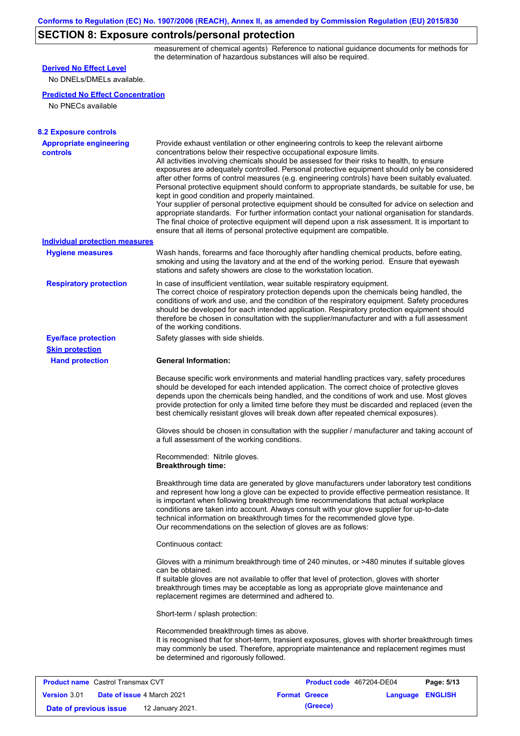# **SECTION 8: Exposure controls/personal protection**

measurement of chemical agents) Reference to national guidance documents for methods for the determination of hazardous substances will also be required.

| <b>Derived No Effect Level</b>                    |                                                                                                                                                                                                                                                                                                                                                                                                                                                                                                                                                                                                                                                                                                                                                                                                                                                                                                                                                                                                         |  |  |  |  |
|---------------------------------------------------|---------------------------------------------------------------------------------------------------------------------------------------------------------------------------------------------------------------------------------------------------------------------------------------------------------------------------------------------------------------------------------------------------------------------------------------------------------------------------------------------------------------------------------------------------------------------------------------------------------------------------------------------------------------------------------------------------------------------------------------------------------------------------------------------------------------------------------------------------------------------------------------------------------------------------------------------------------------------------------------------------------|--|--|--|--|
| No DNELs/DMELs available.                         |                                                                                                                                                                                                                                                                                                                                                                                                                                                                                                                                                                                                                                                                                                                                                                                                                                                                                                                                                                                                         |  |  |  |  |
| <b>Predicted No Effect Concentration</b>          |                                                                                                                                                                                                                                                                                                                                                                                                                                                                                                                                                                                                                                                                                                                                                                                                                                                                                                                                                                                                         |  |  |  |  |
| No PNECs available                                |                                                                                                                                                                                                                                                                                                                                                                                                                                                                                                                                                                                                                                                                                                                                                                                                                                                                                                                                                                                                         |  |  |  |  |
|                                                   |                                                                                                                                                                                                                                                                                                                                                                                                                                                                                                                                                                                                                                                                                                                                                                                                                                                                                                                                                                                                         |  |  |  |  |
| <b>8.2 Exposure controls</b>                      |                                                                                                                                                                                                                                                                                                                                                                                                                                                                                                                                                                                                                                                                                                                                                                                                                                                                                                                                                                                                         |  |  |  |  |
| <b>Appropriate engineering</b><br><b>controls</b> | Provide exhaust ventilation or other engineering controls to keep the relevant airborne<br>concentrations below their respective occupational exposure limits.<br>All activities involving chemicals should be assessed for their risks to health, to ensure<br>exposures are adequately controlled. Personal protective equipment should only be considered<br>after other forms of control measures (e.g. engineering controls) have been suitably evaluated.<br>Personal protective equipment should conform to appropriate standards, be suitable for use, be<br>kept in good condition and properly maintained.<br>Your supplier of personal protective equipment should be consulted for advice on selection and<br>appropriate standards. For further information contact your national organisation for standards.<br>The final choice of protective equipment will depend upon a risk assessment. It is important to<br>ensure that all items of personal protective equipment are compatible. |  |  |  |  |
| <b>Individual protection measures</b>             |                                                                                                                                                                                                                                                                                                                                                                                                                                                                                                                                                                                                                                                                                                                                                                                                                                                                                                                                                                                                         |  |  |  |  |
| <b>Hygiene measures</b>                           | Wash hands, forearms and face thoroughly after handling chemical products, before eating,<br>smoking and using the lavatory and at the end of the working period. Ensure that eyewash<br>stations and safety showers are close to the workstation location.                                                                                                                                                                                                                                                                                                                                                                                                                                                                                                                                                                                                                                                                                                                                             |  |  |  |  |
| <b>Respiratory protection</b>                     | In case of insufficient ventilation, wear suitable respiratory equipment.<br>The correct choice of respiratory protection depends upon the chemicals being handled, the<br>conditions of work and use, and the condition of the respiratory equipment. Safety procedures<br>should be developed for each intended application. Respiratory protection equipment should<br>therefore be chosen in consultation with the supplier/manufacturer and with a full assessment<br>of the working conditions.                                                                                                                                                                                                                                                                                                                                                                                                                                                                                                   |  |  |  |  |
| <b>Eye/face protection</b>                        | Safety glasses with side shields.                                                                                                                                                                                                                                                                                                                                                                                                                                                                                                                                                                                                                                                                                                                                                                                                                                                                                                                                                                       |  |  |  |  |
| <b>Skin protection</b>                            |                                                                                                                                                                                                                                                                                                                                                                                                                                                                                                                                                                                                                                                                                                                                                                                                                                                                                                                                                                                                         |  |  |  |  |
| <b>Hand protection</b>                            | <b>General Information:</b>                                                                                                                                                                                                                                                                                                                                                                                                                                                                                                                                                                                                                                                                                                                                                                                                                                                                                                                                                                             |  |  |  |  |
|                                                   | Because specific work environments and material handling practices vary, safety procedures<br>should be developed for each intended application. The correct choice of protective gloves<br>depends upon the chemicals being handled, and the conditions of work and use. Most gloves<br>provide protection for only a limited time before they must be discarded and replaced (even the<br>best chemically resistant gloves will break down after repeated chemical exposures).                                                                                                                                                                                                                                                                                                                                                                                                                                                                                                                        |  |  |  |  |
|                                                   | Gloves should be chosen in consultation with the supplier / manufacturer and taking account of<br>a full assessment of the working conditions.                                                                                                                                                                                                                                                                                                                                                                                                                                                                                                                                                                                                                                                                                                                                                                                                                                                          |  |  |  |  |
|                                                   | Recommended: Nitrile gloves.<br><b>Breakthrough time:</b>                                                                                                                                                                                                                                                                                                                                                                                                                                                                                                                                                                                                                                                                                                                                                                                                                                                                                                                                               |  |  |  |  |
|                                                   | Breakthrough time data are generated by glove manufacturers under laboratory test conditions<br>and represent how long a glove can be expected to provide effective permeation resistance. It<br>is important when following breakthrough time recommendations that actual workplace<br>conditions are taken into account. Always consult with your glove supplier for up-to-date<br>technical information on breakthrough times for the recommended glove type.<br>Our recommendations on the selection of gloves are as follows:                                                                                                                                                                                                                                                                                                                                                                                                                                                                      |  |  |  |  |
|                                                   | Continuous contact:                                                                                                                                                                                                                                                                                                                                                                                                                                                                                                                                                                                                                                                                                                                                                                                                                                                                                                                                                                                     |  |  |  |  |
|                                                   | Gloves with a minimum breakthrough time of 240 minutes, or >480 minutes if suitable gloves<br>can be obtained.<br>If suitable gloves are not available to offer that level of protection, gloves with shorter<br>breakthrough times may be acceptable as long as appropriate glove maintenance and<br>replacement regimes are determined and adhered to.                                                                                                                                                                                                                                                                                                                                                                                                                                                                                                                                                                                                                                                |  |  |  |  |
|                                                   | Short-term / splash protection:                                                                                                                                                                                                                                                                                                                                                                                                                                                                                                                                                                                                                                                                                                                                                                                                                                                                                                                                                                         |  |  |  |  |
|                                                   | Recommended breakthrough times as above.<br>It is recognised that for short-term, transient exposures, gloves with shorter breakthrough times<br>may commonly be used. Therefore, appropriate maintenance and replacement regimes must<br>be determined and rigorously followed.                                                                                                                                                                                                                                                                                                                                                                                                                                                                                                                                                                                                                                                                                                                        |  |  |  |  |
|                                                   |                                                                                                                                                                                                                                                                                                                                                                                                                                                                                                                                                                                                                                                                                                                                                                                                                                                                                                                                                                                                         |  |  |  |  |
| <b>Product name</b> Castrol Transmax CVT          | Product code 467204-DE04<br>Page: 5/13                                                                                                                                                                                                                                                                                                                                                                                                                                                                                                                                                                                                                                                                                                                                                                                                                                                                                                                                                                  |  |  |  |  |
| <b>Version 3.01</b><br>Date of issue 4 March 2021 | <b>ENGLISH</b><br><b>Format Greece</b><br>Language                                                                                                                                                                                                                                                                                                                                                                                                                                                                                                                                                                                                                                                                                                                                                                                                                                                                                                                                                      |  |  |  |  |

**Date of previous issue 12 January 2021. (Greece)**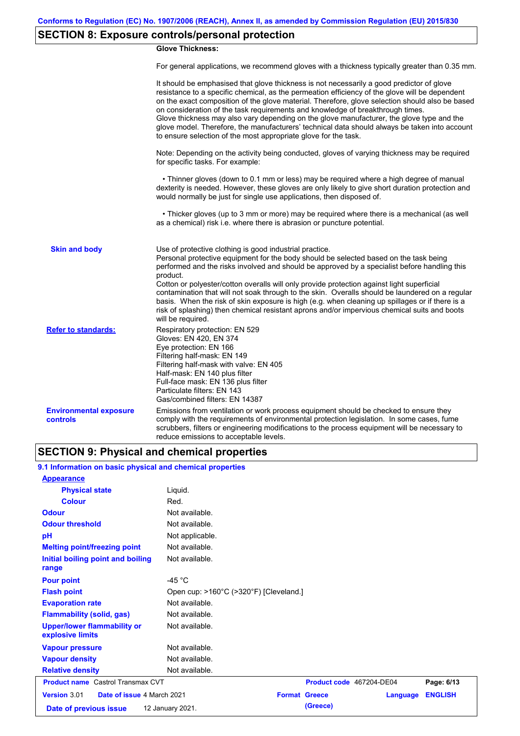# **SECTION 8: Exposure controls/personal protection**

#### **Glove Thickness:**

For general applications, we recommend gloves with a thickness typically greater than 0.35 mm.

|                                           | It should be emphasised that glove thickness is not necessarily a good predictor of glove<br>resistance to a specific chemical, as the permeation efficiency of the glove will be dependent<br>on the exact composition of the glove material. Therefore, glove selection should also be based<br>on consideration of the task requirements and knowledge of breakthrough times.<br>Glove thickness may also vary depending on the glove manufacturer, the glove type and the<br>glove model. Therefore, the manufacturers' technical data should always be taken into account<br>to ensure selection of the most appropriate glove for the task.                                     |
|-------------------------------------------|---------------------------------------------------------------------------------------------------------------------------------------------------------------------------------------------------------------------------------------------------------------------------------------------------------------------------------------------------------------------------------------------------------------------------------------------------------------------------------------------------------------------------------------------------------------------------------------------------------------------------------------------------------------------------------------|
|                                           | Note: Depending on the activity being conducted, gloves of varying thickness may be required<br>for specific tasks. For example:                                                                                                                                                                                                                                                                                                                                                                                                                                                                                                                                                      |
|                                           | • Thinner gloves (down to 0.1 mm or less) may be required where a high degree of manual<br>dexterity is needed. However, these gloves are only likely to give short duration protection and<br>would normally be just for single use applications, then disposed of.                                                                                                                                                                                                                                                                                                                                                                                                                  |
|                                           | • Thicker gloves (up to 3 mm or more) may be required where there is a mechanical (as well<br>as a chemical) risk i.e. where there is abrasion or puncture potential.                                                                                                                                                                                                                                                                                                                                                                                                                                                                                                                 |
| <b>Skin and body</b>                      | Use of protective clothing is good industrial practice.<br>Personal protective equipment for the body should be selected based on the task being<br>performed and the risks involved and should be approved by a specialist before handling this<br>product.<br>Cotton or polyester/cotton overalls will only provide protection against light superficial<br>contamination that will not soak through to the skin. Overalls should be laundered on a regular<br>basis. When the risk of skin exposure is high (e.g. when cleaning up spillages or if there is a<br>risk of splashing) then chemical resistant aprons and/or impervious chemical suits and boots<br>will be required. |
| <b>Refer to standards:</b>                | Respiratory protection: EN 529<br>Gloves: EN 420, EN 374<br>Eye protection: EN 166<br>Filtering half-mask: EN 149<br>Filtering half-mask with valve: EN 405<br>Half-mask: EN 140 plus filter<br>Full-face mask: EN 136 plus filter<br>Particulate filters: EN 143<br>Gas/combined filters: EN 14387                                                                                                                                                                                                                                                                                                                                                                                   |
| <b>Environmental exposure</b><br>controls | Emissions from ventilation or work process equipment should be checked to ensure they<br>comply with the requirements of environmental protection legislation. In some cases, fume<br>scrubbers, filters or engineering modifications to the process equipment will be necessary to<br>reduce emissions to acceptable levels.                                                                                                                                                                                                                                                                                                                                                         |

# **SECTION 9: Physical and chemical properties**

| 9.1 Information on basic physical and chemical properties |                                        |                      |                          |                |
|-----------------------------------------------------------|----------------------------------------|----------------------|--------------------------|----------------|
| <b>Appearance</b>                                         |                                        |                      |                          |                |
| <b>Physical state</b>                                     | Liquid.                                |                      |                          |                |
| <b>Colour</b>                                             | Red.                                   |                      |                          |                |
| <b>Odour</b>                                              | Not available.                         |                      |                          |                |
| <b>Odour threshold</b>                                    | Not available.                         |                      |                          |                |
| pH                                                        | Not applicable.                        |                      |                          |                |
| <b>Melting point/freezing point</b>                       | Not available.                         |                      |                          |                |
| Initial boiling point and boiling<br>range                | Not available.                         |                      |                          |                |
| <b>Pour point</b>                                         | -45 $^{\circ}$ C                       |                      |                          |                |
| <b>Flash point</b>                                        | Open cup: >160°C (>320°F) [Cleveland.] |                      |                          |                |
| <b>Evaporation rate</b>                                   | Not available.                         |                      |                          |                |
| <b>Flammability (solid, gas)</b>                          | Not available.                         |                      |                          |                |
| <b>Upper/lower flammability or</b><br>explosive limits    | Not available.                         |                      |                          |                |
| <b>Vapour pressure</b>                                    | Not available.                         |                      |                          |                |
| <b>Vapour density</b>                                     | Not available.                         |                      |                          |                |
| <b>Relative density</b>                                   | Not available.                         |                      |                          |                |
| <b>Product name</b> Castrol Transmax CVT                  |                                        |                      | Product code 467204-DE04 | Page: 6/13     |
| Version 3.01<br>Date of issue 4 March 2021                |                                        | <b>Format Greece</b> | Language                 | <b>ENGLISH</b> |
| Date of previous issue                                    | 12 January 2021.                       | (Greece)             |                          |                |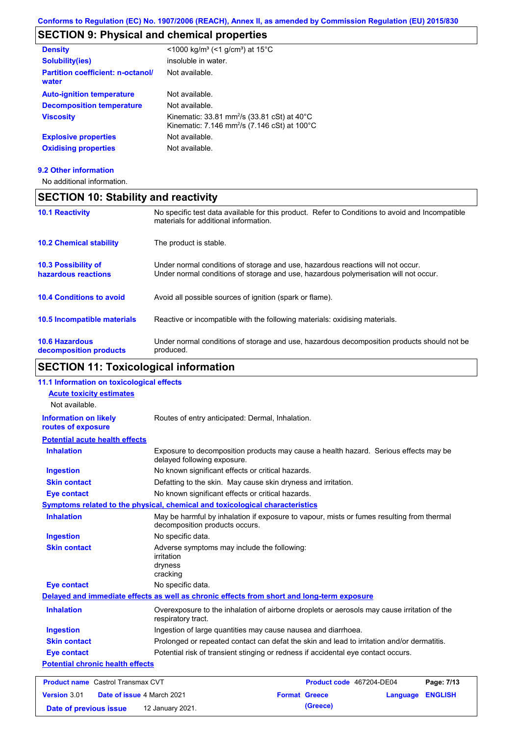# **SECTION 9: Physical and chemical properties**

| <b>Density</b>                                    | <1000 kg/m <sup>3</sup> (<1 g/cm <sup>3</sup> ) at 15 <sup>°</sup> C                                                               |
|---------------------------------------------------|------------------------------------------------------------------------------------------------------------------------------------|
| <b>Solubility(ies)</b>                            | insoluble in water.                                                                                                                |
| <b>Partition coefficient: n-octanol/</b><br>water | Not available.                                                                                                                     |
| <b>Auto-ignition temperature</b>                  | Not available.                                                                                                                     |
| <b>Decomposition temperature</b>                  | Not available.                                                                                                                     |
| <b>Viscosity</b>                                  | Kinematic: 33.81 mm <sup>2</sup> /s (33.81 cSt) at 40°C<br>Kinematic: $7.146$ mm <sup>2</sup> /s ( $7.146$ cSt) at $100^{\circ}$ C |
| <b>Explosive properties</b>                       | Not available.                                                                                                                     |
| <b>Oxidising properties</b>                       | Not available.                                                                                                                     |
|                                                   |                                                                                                                                    |

#### **9.2 Other information**

No additional information.

# **SECTION 10: Stability and reactivity**

| <b>10.1 Reactivity</b>                            | No specific test data available for this product. Refer to Conditions to avoid and Incompatible<br>materials for additional information.                                |
|---------------------------------------------------|-------------------------------------------------------------------------------------------------------------------------------------------------------------------------|
| <b>10.2 Chemical stability</b>                    | The product is stable.                                                                                                                                                  |
| <b>10.3 Possibility of</b><br>hazardous reactions | Under normal conditions of storage and use, hazardous reactions will not occur.<br>Under normal conditions of storage and use, hazardous polymerisation will not occur. |
| <b>10.4 Conditions to avoid</b>                   | Avoid all possible sources of ignition (spark or flame).                                                                                                                |
| 10.5 Incompatible materials                       | Reactive or incompatible with the following materials: oxidising materials.                                                                                             |
| <b>10.6 Hazardous</b><br>decomposition products   | Under normal conditions of storage and use, hazardous decomposition products should not be<br>produced.                                                                 |

# **SECTION 11: Toxicological information**

| 11.1 Information on toxicological effects          |                                                                                                                             |
|----------------------------------------------------|-----------------------------------------------------------------------------------------------------------------------------|
| <b>Acute toxicity estimates</b>                    |                                                                                                                             |
| Not available.                                     |                                                                                                                             |
| <b>Information on likely</b><br>routes of exposure | Routes of entry anticipated: Dermal, Inhalation.                                                                            |
| <b>Potential acute health effects</b>              |                                                                                                                             |
| <b>Inhalation</b>                                  | Exposure to decomposition products may cause a health hazard. Serious effects may be<br>delayed following exposure.         |
| <b>Ingestion</b>                                   | No known significant effects or critical hazards.                                                                           |
| <b>Skin contact</b>                                | Defatting to the skin. May cause skin dryness and irritation.                                                               |
| <b>Eye contact</b>                                 | No known significant effects or critical hazards.                                                                           |
|                                                    | Symptoms related to the physical, chemical and toxicological characteristics                                                |
| <b>Inhalation</b>                                  | May be harmful by inhalation if exposure to vapour, mists or fumes resulting from thermal<br>decomposition products occurs. |
| <b>Ingestion</b>                                   | No specific data.                                                                                                           |
| <b>Skin contact</b>                                | Adverse symptoms may include the following:<br>irritation<br>dryness<br>cracking                                            |
| <b>Eye contact</b>                                 | No specific data.                                                                                                           |
|                                                    | Delayed and immediate effects as well as chronic effects from short and long-term exposure                                  |
| <b>Inhalation</b>                                  | Overexposure to the inhalation of airborne droplets or aerosols may cause irritation of the<br>respiratory tract.           |
| <b>Ingestion</b>                                   | Ingestion of large quantities may cause nausea and diarrhoea.                                                               |
| <b>Skin contact</b>                                | Prolonged or repeated contact can defat the skin and lead to irritation and/or dermatitis.                                  |
| <b>Eye contact</b>                                 | Potential risk of transient stinging or redness if accidental eye contact occurs.                                           |
| <b>Potential chronic health effects</b>            |                                                                                                                             |
| <b>Product name</b> Castrol Transmax CVT           | Product code 467204-DE04<br>Page: 7/13                                                                                      |

| <b>FIVUUULIIQIIIE</b> VASUVI HAIISIIIAA VYT |                                   |                      | FIVUUUL COUG TUIZUT-DEUT | гач <del>с</del> . <i>п</i> го |
|---------------------------------------------|-----------------------------------|----------------------|--------------------------|--------------------------------|
| <b>Version 3.01</b>                         | <b>Date of issue 4 March 2021</b> | <b>Format Greece</b> | Language ENGLISH         |                                |
| Date of previous issue                      | 12 January 2021.                  | (Greece)             |                          |                                |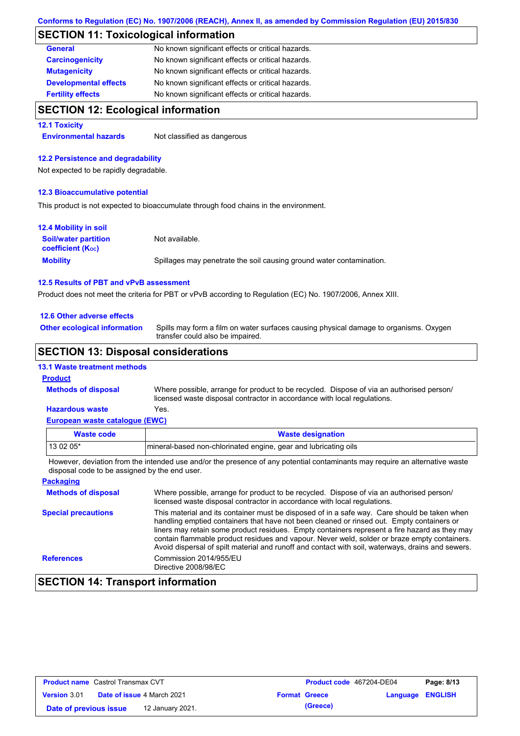## **SECTION 11: Toxicological information**

| <b>General</b>               | No known significant effects or critical hazards. |
|------------------------------|---------------------------------------------------|
| <b>Carcinogenicity</b>       | No known significant effects or critical hazards. |
| <b>Mutagenicity</b>          | No known significant effects or critical hazards. |
| <b>Developmental effects</b> | No known significant effects or critical hazards. |
| <b>Fertility effects</b>     | No known significant effects or critical hazards. |

### **SECTION 12: Ecological information**

#### **12.1 Toxicity**

**Environmental hazards** Not classified as dangerous

#### **12.2 Persistence and degradability**

Not expected to be rapidly degradable.

#### **12.3 Bioaccumulative potential**

This product is not expected to bioaccumulate through food chains in the environment.

| <b>12.4 Mobility in soil</b>                                  |                                                                      |
|---------------------------------------------------------------|----------------------------------------------------------------------|
| <b>Soil/water partition</b><br>coefficient (K <sub>oc</sub> ) | Not available.                                                       |
| <b>Mobility</b>                                               | Spillages may penetrate the soil causing ground water contamination. |

#### **12.5 Results of PBT and vPvB assessment**

Product does not meet the criteria for PBT or vPvB according to Regulation (EC) No. 1907/2006, Annex XIII.

#### **12.6 Other adverse effects**

**Other ecological information**

Spills may form a film on water surfaces causing physical damage to organisms. Oxygen transfer could also be impaired.

### **SECTION 13: Disposal considerations**

| <b>13.1 Waste treatment methods</b> |                                                                                                                                                                      |
|-------------------------------------|----------------------------------------------------------------------------------------------------------------------------------------------------------------------|
| <b>Product</b>                      |                                                                                                                                                                      |
| <b>Methods of disposal</b>          | Where possible, arrange for product to be recycled. Dispose of via an authorised person/<br>licensed waste disposal contractor in accordance with local regulations. |
| <b>Hazardous waste</b>              | Yes.                                                                                                                                                                 |

#### **European waste catalogue (EWC)**

| Waste code | <b>Waste designation</b>                                        |
|------------|-----------------------------------------------------------------|
| 13 02 05*  | mineral-based non-chlorinated engine, gear and lubricating oils |

However, deviation from the intended use and/or the presence of any potential contaminants may require an alternative waste disposal code to be assigned by the end user.

#### **Packaging Methods of disposal Special precautions** Where possible, arrange for product to be recycled. Dispose of via an authorised person/ licensed waste disposal contractor in accordance with local regulations. This material and its container must be disposed of in a safe way. Care should be taken when handling emptied containers that have not been cleaned or rinsed out. Empty containers or liners may retain some product residues. Empty containers represent a fire hazard as they may contain flammable product residues and vapour. Never weld, solder or braze empty containers. Avoid dispersal of spilt material and runoff and contact with soil, waterways, drains and sewers. **References** Commission 2014/955/EU Directive 2008/98/EC

### **SECTION 14: Transport information**

| <b>Product name</b> Castrol Transmax CVT |  |                                   |                      | Product code 467204-DE04 | Page: 8/13              |  |
|------------------------------------------|--|-----------------------------------|----------------------|--------------------------|-------------------------|--|
| <b>Version 3.01</b>                      |  | <b>Date of issue 4 March 2021</b> | <b>Format Greece</b> |                          | <b>Language ENGLISH</b> |  |
| Date of previous issue                   |  | 12 January 2021.                  |                      | (Greece)                 |                         |  |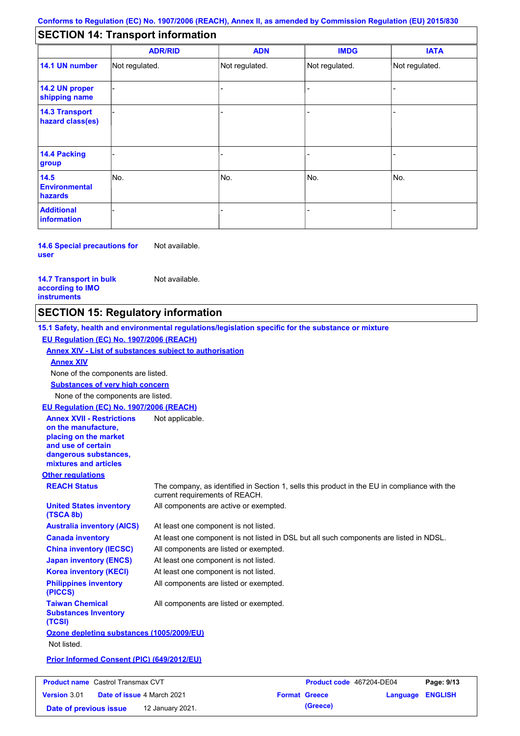# **SECTION 14: Transport information**

|                                           | <b>ADR/RID</b> | <b>ADN</b>     | <b>IMDG</b>    | <b>IATA</b>    |  |  |  |
|-------------------------------------------|----------------|----------------|----------------|----------------|--|--|--|
| 14.1 UN number                            | Not regulated. | Not regulated. | Not regulated. | Not regulated. |  |  |  |
| 14.2 UN proper<br>shipping name           |                |                |                |                |  |  |  |
| <b>14.3 Transport</b><br>hazard class(es) |                |                |                |                |  |  |  |
| 14.4 Packing<br>group                     |                |                |                |                |  |  |  |
| 14.5<br><b>Environmental</b><br>hazards   | No.            | No.            | No.            | No.            |  |  |  |
| <b>Additional</b><br>information          |                |                |                |                |  |  |  |

**14.6 Special precautions for user** Not available.

**14.7 Transport in bulk according to IMO instruments**

# **SECTION 15: Regulatory information**

Not available.

**Other regulations REACH Status** The company, as identified in Section 1, sells this product in the EU in compliance with the current requirements of REACH. **15.1 Safety, health and environmental regulations/legislation specific for the substance or mixture EU Regulation (EC) No. 1907/2006 (REACH) Annex XIV - List of substances subject to authorisation Substances of very high concern** None of the components are listed. At least one component is not listed. At least one component is not listed in DSL but all such components are listed in NDSL. All components are listed or exempted. At least one component is not listed. All components are active or exempted. At least one component is not listed. All components are listed or exempted. **United States inventory (TSCA 8b) Australia inventory (AICS) Canada inventory China inventory (IECSC) Japan inventory (ENCS) Korea inventory (KECI) Philippines inventory (PICCS) Taiwan Chemical Substances Inventory (TCSI)** All components are listed or exempted. **Ozone depleting substances (1005/2009/EU)** Not listed. **Prior Informed Consent (PIC) (649/2012/EU)** None of the components are listed. **Annex XIV EU Regulation (EC) No. 1907/2006 (REACH) Annex XVII - Restrictions on the manufacture, placing on the market and use of certain dangerous substances, mixtures and articles** Not applicable.

| <b>Product name</b> Castrol Transmax CVT |                                   |                  | <b>Product code</b> 467204-DE04 |                      | Page: 9/13              |  |
|------------------------------------------|-----------------------------------|------------------|---------------------------------|----------------------|-------------------------|--|
| <b>Version</b> 3.01                      | <b>Date of issue 4 March 2021</b> |                  |                                 | <b>Format Greece</b> | <b>Language ENGLISH</b> |  |
| Date of previous issue                   |                                   | 12 January 2021. |                                 | (Greece)             |                         |  |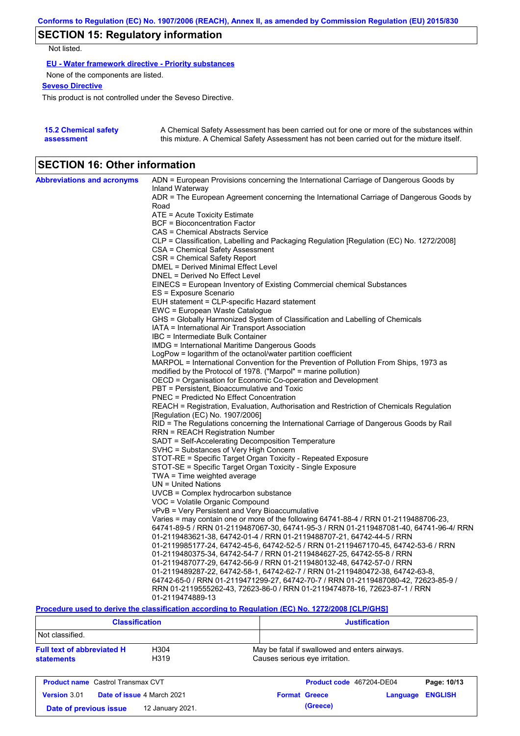# **SECTION 15: Regulatory information**

Not listed.

**EU - Water framework directive - Priority substances**

None of the components are listed.

**Seveso Directive**

This product is not controlled under the Seveso Directive.

| <b>15.2 Chemical safety</b> | A Chemical Safety Assessment has been carried out for one or more of the substances within  |
|-----------------------------|---------------------------------------------------------------------------------------------|
| assessment                  | this mixture. A Chemical Safety Assessment has not been carried out for the mixture itself. |

# **SECTION 16: Other information**

| <b>Abbreviations and acronyms</b> | ADN = European Provisions concerning the International Carriage of Dangerous Goods by            |
|-----------------------------------|--------------------------------------------------------------------------------------------------|
|                                   | Inland Waterway                                                                                  |
|                                   | ADR = The European Agreement concerning the International Carriage of Dangerous Goods by<br>Road |
|                                   | ATE = Acute Toxicity Estimate                                                                    |
|                                   | <b>BCF = Bioconcentration Factor</b>                                                             |
|                                   | CAS = Chemical Abstracts Service                                                                 |
|                                   | CLP = Classification, Labelling and Packaging Regulation [Regulation (EC) No. 1272/2008]         |
|                                   | CSA = Chemical Safety Assessment                                                                 |
|                                   | CSR = Chemical Safety Report                                                                     |
|                                   | DMEL = Derived Minimal Effect Level                                                              |
|                                   | DNEL = Derived No Effect Level                                                                   |
|                                   | EINECS = European Inventory of Existing Commercial chemical Substances                           |
|                                   | ES = Exposure Scenario                                                                           |
|                                   | EUH statement = CLP-specific Hazard statement                                                    |
|                                   | EWC = European Waste Catalogue                                                                   |
|                                   | GHS = Globally Harmonized System of Classification and Labelling of Chemicals                    |
|                                   | IATA = International Air Transport Association                                                   |
|                                   | IBC = Intermediate Bulk Container                                                                |
|                                   | IMDG = International Maritime Dangerous Goods                                                    |
|                                   | LogPow = logarithm of the octanol/water partition coefficient                                    |
|                                   | MARPOL = International Convention for the Prevention of Pollution From Ships, 1973 as            |
|                                   | modified by the Protocol of 1978. ("Marpol" = marine pollution)                                  |
|                                   | OECD = Organisation for Economic Co-operation and Development                                    |
|                                   | PBT = Persistent, Bioaccumulative and Toxic                                                      |
|                                   | <b>PNEC = Predicted No Effect Concentration</b>                                                  |
|                                   | REACH = Registration, Evaluation, Authorisation and Restriction of Chemicals Regulation          |
|                                   | [Regulation (EC) No. 1907/2006]                                                                  |
|                                   | RID = The Regulations concerning the International Carriage of Dangerous Goods by Rail           |
|                                   | RRN = REACH Registration Number                                                                  |
|                                   | SADT = Self-Accelerating Decomposition Temperature                                               |
|                                   | SVHC = Substances of Very High Concern                                                           |
|                                   | STOT-RE = Specific Target Organ Toxicity - Repeated Exposure                                     |
|                                   | STOT-SE = Specific Target Organ Toxicity - Single Exposure                                       |
|                                   | TWA = Time weighted average                                                                      |
|                                   | $UN = United Nations$                                                                            |
|                                   | $UVCB = Complex\;hydrocarbon\; substance$                                                        |
|                                   | VOC = Volatile Organic Compound                                                                  |
|                                   | vPvB = Very Persistent and Very Bioaccumulative                                                  |
|                                   | Varies = may contain one or more of the following $64741-88-4$ / RRN 01-2119488706-23,           |
|                                   | 64741-89-5 / RRN 01-2119487067-30, 64741-95-3 / RRN 01-2119487081-40, 64741-96-4/ RRN            |
|                                   | 01-2119483621-38, 64742-01-4 / RRN 01-2119488707-21, 64742-44-5 / RRN                            |
|                                   | 01-2119985177-24, 64742-45-6, 64742-52-5 / RRN 01-2119467170-45, 64742-53-6 / RRN                |
|                                   | 01-2119480375-34, 64742-54-7 / RRN 01-2119484627-25, 64742-55-8 / RRN                            |
|                                   | 01-2119487077-29, 64742-56-9 / RRN 01-2119480132-48, 64742-57-0 / RRN                            |
|                                   | 01-2119489287-22, 64742-58-1, 64742-62-7 / RRN 01-2119480472-38, 64742-63-8,                     |
|                                   | 64742-65-0 / RRN 01-2119471299-27, 64742-70-7 / RRN 01-2119487080-42, 72623-85-9 /               |
|                                   | RRN 01-2119555262-43, 72623-86-0 / RRN 01-2119474878-16, 72623-87-1 / RRN                        |
|                                   | 01-2119474889-13                                                                                 |

**Procedure used to derive the classification according to Regulation (EC) No. 1272/2008 [CLP/GHS]**

| <b>Classification</b>                                                              |  | <b>Justification</b>                                                            |
|------------------------------------------------------------------------------------|--|---------------------------------------------------------------------------------|
| Not classified.                                                                    |  |                                                                                 |
| <b>Full text of abbreviated H</b><br>H <sub>304</sub><br>H319<br><b>statements</b> |  | May be fatal if swallowed and enters airways.<br>Causes serious eye irritation. |
|                                                                                    |  |                                                                                 |

| <b>Product name</b> Castrol Transmax CVT |                                   |                  |  | Product code 467204-DE04 | Page: 10/13             |  |
|------------------------------------------|-----------------------------------|------------------|--|--------------------------|-------------------------|--|
| <b>Version</b> 3.01                      | <b>Date of issue 4 March 2021</b> |                  |  | <b>Format Greece</b>     | <b>Language ENGLISH</b> |  |
| Date of previous issue                   |                                   | 12 January 2021. |  | (Greece)                 |                         |  |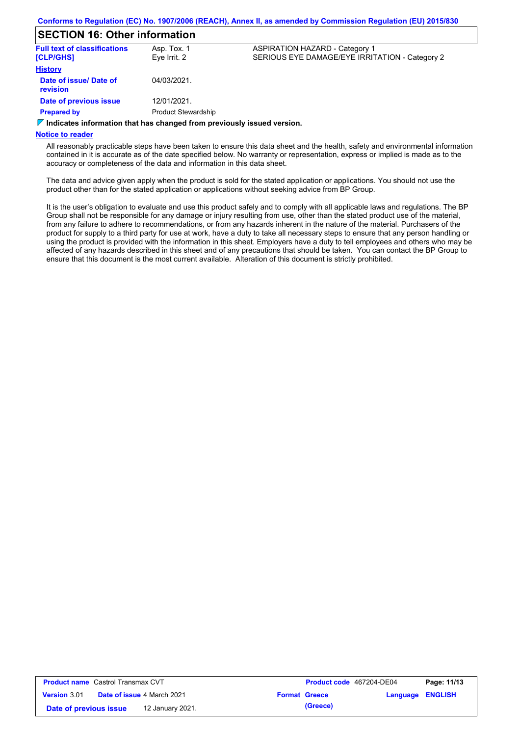### **SECTION 16: Other information**

| <b>Full text of classifications</b>       | Asp. Tox. 1                | <b>ASPIRATION HAZARD - Category 1</b>          |
|-------------------------------------------|----------------------------|------------------------------------------------|
| <b>[CLP/GHS]</b>                          | Eve Irrit. 2               | SERIOUS EYE DAMAGE/EYE IRRITATION - Category 2 |
| <b>History</b>                            |                            |                                                |
| Date of issue/ Date of<br><b>revision</b> | 04/03/2021.                |                                                |
| Date of previous issue                    | 12/01/2021.                |                                                |
| <b>Prepared by</b>                        | <b>Product Stewardship</b> |                                                |

#### **Indicates information that has changed from previously issued version.**

#### **Notice to reader**

All reasonably practicable steps have been taken to ensure this data sheet and the health, safety and environmental information contained in it is accurate as of the date specified below. No warranty or representation, express or implied is made as to the accuracy or completeness of the data and information in this data sheet.

The data and advice given apply when the product is sold for the stated application or applications. You should not use the product other than for the stated application or applications without seeking advice from BP Group.

It is the user's obligation to evaluate and use this product safely and to comply with all applicable laws and regulations. The BP Group shall not be responsible for any damage or injury resulting from use, other than the stated product use of the material, from any failure to adhere to recommendations, or from any hazards inherent in the nature of the material. Purchasers of the product for supply to a third party for use at work, have a duty to take all necessary steps to ensure that any person handling or using the product is provided with the information in this sheet. Employers have a duty to tell employees and others who may be affected of any hazards described in this sheet and of any precautions that should be taken. You can contact the BP Group to ensure that this document is the most current available. Alteration of this document is strictly prohibited.

| <b>Product name</b> Castrol Transmax CVT |  |                                   | <b>Product code</b> 467204-DE04 |                      | Page: 11/13             |  |
|------------------------------------------|--|-----------------------------------|---------------------------------|----------------------|-------------------------|--|
| <b>Version</b> 3.01                      |  | <b>Date of issue 4 March 2021</b> |                                 | <b>Format Greece</b> | <b>Language ENGLISH</b> |  |
| Date of previous issue                   |  | 12 January 2021.                  |                                 | (Greece)             |                         |  |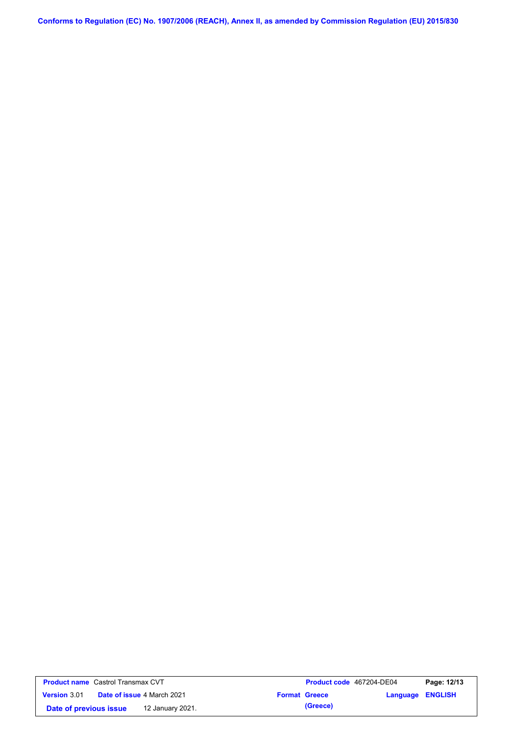**Conforms to Regulation (EC) No. 1907/2006 (REACH), Annex II, as amended by Commission Regulation (EU) 2015/830**

| <b>Product name</b> Castrol Transmax CVT |  |                            | Product code 467204-DE04 |                      | Page: 12/13             |  |
|------------------------------------------|--|----------------------------|--------------------------|----------------------|-------------------------|--|
| <b>Version 3.01</b>                      |  | Date of issue 4 March 2021 |                          | <b>Format Greece</b> | <b>Language ENGLISH</b> |  |
| Date of previous issue                   |  | 12 January 2021.           |                          | (Greece)             |                         |  |